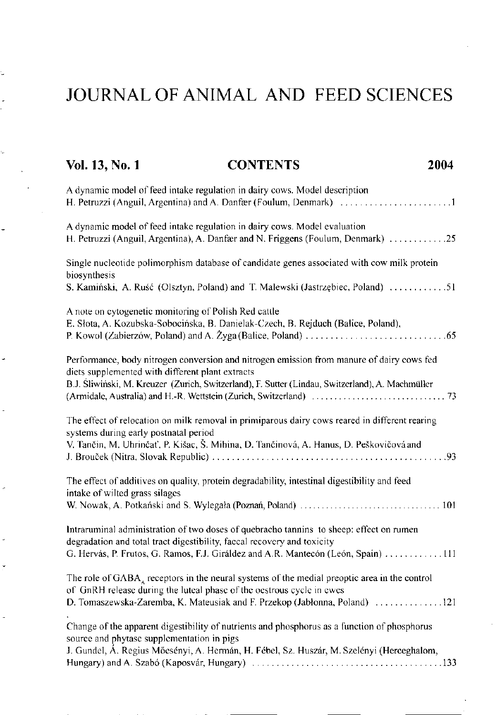## JOURNAL OF ANIMAL AND FEED SCIENCES

Ų

| <b>CONTENTS</b><br>Vol. 13, No. 1<br>2004                                                                                                                                                                                                               |
|---------------------------------------------------------------------------------------------------------------------------------------------------------------------------------------------------------------------------------------------------------|
| A dynamic model of feed intake regulation in dairy cows. Model description                                                                                                                                                                              |
| A dynamic model of feed intake regulation in dairy cows. Model evaluation<br>H. Petruzzi (Anguil, Argentina), A. Danfær and N. Friggens (Foulum, Denmark) 25                                                                                            |
| Single nucleotide polimorphism database of candidate genes associated with cow milk protein<br>biosynthesis<br>S. Kamiński, A. Ruść (Olsztyn, Poland) and T. Malewski (Jastrzębiec, Poland) 51                                                          |
| A note on cytogenetic monitoring of Polish Red cattle<br>E. Słota, A. Kozubska-Sobocińska, B. Danielak-Czech, B. Rejduch (Balice, Poland),                                                                                                              |
| Performance, body nitrogen conversion and nitrogen emission from manure of dairy cows fed<br>diets supplemented with different plant extracts<br>B.J. Śliwiński, M. Kreuzer (Zurich, Switzerland), F. Sutter (Lindau, Switzerland), A. Machmüller       |
| The effect of relocation on milk removal in primiparous dairy cows reared in different rearing<br>systems during early postnatal period<br>V. Tančin, M. Uhrinčať, P. Kišac, Š. Mihina, D. Tančinová, A. Hanus, D. Peškovičová and                      |
| The effect of additives on quality, protein degradability, intestinal digestibility and feed<br>intake of wilted grass silages                                                                                                                          |
| Intraruminal administration of two doses of quebracho tannins to sheep: effect on rumen<br>degradation and total tract digestibility, faccal recovery and toxicity<br>G. Hervás, P. Frutos, G. Ramos, F.J. Giráldez and A.R. Mantecón (León, Spain) 111 |
| The role of GABA, receptors in the neural systems of the medial preoptic area in the control<br>of GnRH release during the luteal phase of the oestrous cycle in ewes<br>D. Tomaszewska-Zaremba, K. Mateusiak and F. Przekop (Jabłonna, Poland) 121     |
| Change of the apparent digestibility of nutrients and phosphorus as a function of phosphorus<br>source and phytase supplementation in pigs<br>J. Gundel, Á. Regius Mőcsényi, A. Hermán, H. Fébel, Sz. Huszár, M. Szelényi (Herceghalom,                 |
|                                                                                                                                                                                                                                                         |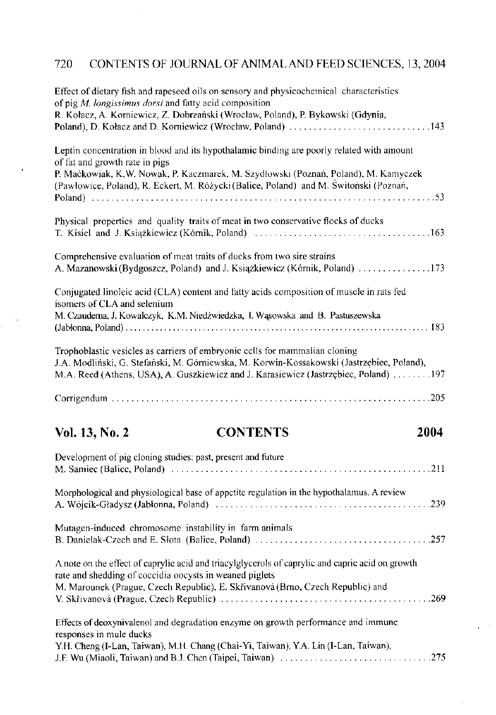### 720 CONTENTS OF JOURNAL OF ANIMAL AND FEED SCIENCES, 13,2004

 $\bar{z}$ 

| Effect of dietary fish and rapeseed oils on sensory and physicochemical characteristics<br>of pig $M$ . longissimus dorsi and fatty acid composition                                                                                                             |
|------------------------------------------------------------------------------------------------------------------------------------------------------------------------------------------------------------------------------------------------------------------|
| R. Kołacz, A. Korniewicz, Z. Dobrzański (Wrocław, Poland), P. Bykowski (Gdynia,<br>Poland), D. Kołacz and D. Korniewicz (Wrocław, Poland) 143                                                                                                                    |
| Leptin concentration in blood and its hypothalamic binding are poorly related with amount<br>of fat and growth rate in pigs<br>P. Mackowiak, K.W. Nowak, P. Kaczmarek, M. Szydłowski (Poznań, Poland), M. Kamyczek                                               |
| (Pawłowice, Poland), R. Eckert, M. Różycki (Balice, Poland) and M. Świtoński (Poznań,                                                                                                                                                                            |
| Physical properties and quality traits of meat in two conservative flocks of ducks                                                                                                                                                                               |
| Comprehensive evaluation of meat traits of ducks from two sire strains<br>A. Mazanowski (Bydgoszcz, Poland) and J. Książkiewicz (Kórnik, Poland) 173                                                                                                             |
| Conjugated linoleic acid (CLA) content and fatty acids composition of muscle in rats fed<br>isomers of CLA and selenium                                                                                                                                          |
| M. Czauderna, J. Kowalczyk, K.M. Niedźwiedzka, I. Wąsowska and B. Pastuszewska                                                                                                                                                                                   |
| Trophoblastic vesicles as carriers of embryonic cells for mammalian cloning<br>J.A. Modliński, G. Stefański, M. Górniewska, M. Korwin-Kossakowski (Jastrzębiec, Poland),<br>M.A. Reed (Athens, USA), A. Guszkiewicz and J. Karasiewicz (Jastrzębiec, Poland) 197 |
|                                                                                                                                                                                                                                                                  |
|                                                                                                                                                                                                                                                                  |

# **Vol. 13, No. 2 CONTENTS 2004**

| Development of pig cloning studies: past, present and future                                                                                                                                                                                  |
|-----------------------------------------------------------------------------------------------------------------------------------------------------------------------------------------------------------------------------------------------|
| Morphological and physiological base of appetite regulation in the hypothalamus. A review                                                                                                                                                     |
| Mutagen-induced chromosome instability in farm animals                                                                                                                                                                                        |
|                                                                                                                                                                                                                                               |
| A note on the effect of caprylic acid and triacylglycerols of caprylic and capric acid on growth<br>rate and shedding of coccidia opcysts in weaned piglets<br>M. Marounek (Prague, Czech Republic), E. Skřivanová (Brno, Czech Republic) and |
| Effects of deoxynivalenol and degradation enzyme on growth performance and immune<br>responses in mule ducks<br>Y.H. Cheng (I-Lan, Taiwan), M.H. Chang (Chai-Yi, Taiwan), Y.A. Lin (I-Lan, Taiwan),                                           |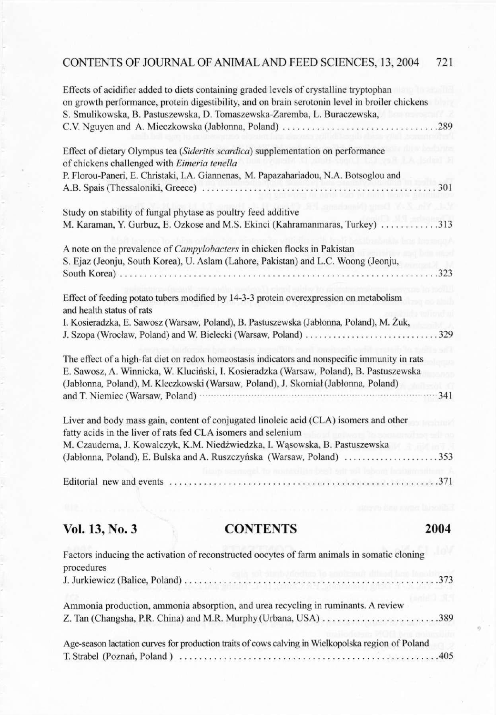### CONTENTS OF JOURNAL OF ANIMAL AND FEED SCIENCES, 13,2004 721

| Effects of acidifier added to diets containing graded levels of crystalline tryptophan                                                                                                   |     |
|------------------------------------------------------------------------------------------------------------------------------------------------------------------------------------------|-----|
| on growth performance, protein digestibility, and on brain serotonin level in broiler chickens                                                                                           |     |
| S. Smulikowska, B. Pastuszewska, D. Tomaszewska-Zaremba, L. Buraczewska,                                                                                                                 |     |
|                                                                                                                                                                                          |     |
| Effect of dietary Olympus tea (Sideritis scardica) supplementation on performance                                                                                                        |     |
| of chickens challenged with Eimeria tenella                                                                                                                                              |     |
| P. Florou-Paneri, E. Christaki, I.A. Giannenas, M. Papazahariadou, N.A. Botsoglou and                                                                                                    |     |
| 301<br>A.B. Spais (Thessaloniki, Greece)                                                                                                                                                 |     |
| Study on stability of fungal phytase as poultry feed additive                                                                                                                            |     |
| .313<br>M. Karaman, Y. Gurbuz, E. Ozkose and M.S. Ekinci (Kahramanmaras, Turkey)                                                                                                         |     |
| A note on the prevalence of Campylobacters in chicken flocks in Pakistan                                                                                                                 |     |
| S. Ejaz (Jeonju, South Korea), U. Aslam (Lahore, Pakistan) and L.C. Woong (Jeonju,                                                                                                       |     |
| .323                                                                                                                                                                                     |     |
| Effect of feeding potato tubers modified by 14-3-3 protein overexpression on metabolism<br>and health status of rats                                                                     |     |
| I. Kosieradzka, E. Sawosz (Warsaw, Poland), B. Pastuszewska (Jabłonna, Poland), M. Żuk,                                                                                                  |     |
| J. Szopa (Wrocław, Poland) and W. Bielecki (Warsaw, Poland) 329                                                                                                                          |     |
| The effect of a high-fat diet on redox homeostasis indicators and nonspecific immunity in rats<br>E. Sawosz, A. Winnicka, W. Kluciński, I. Kosieradzka (Warsaw, Poland), B. Pastuszewska |     |
| (Jabłonna, Poland), M. Kleczkowski (Warsaw, Poland), J. Skomiał (Jabłonna, Poland)                                                                                                       |     |
| and T. Niemiec (Warsaw, Poland) ·                                                                                                                                                        | 341 |
| Liver and body mass gain, content of conjugated linoleic acid (CLA) isomers and other                                                                                                    |     |
| fatty acids in the liver of rats fed CLA isomers and selenium                                                                                                                            |     |
| M. Czauderna, J. Kowalczyk, K.M. Niedźwiedzka, I. Wąsowska, B. Pastuszewska                                                                                                              |     |
|                                                                                                                                                                                          |     |
| Editorial new and events                                                                                                                                                                 |     |
|                                                                                                                                                                                          |     |

### **Vol. 13, No. 3 CONTENTS 2004**

| Factors inducing the activation of reconstructed oocytes of farm animals in somatic cloning<br>procedures |  |
|-----------------------------------------------------------------------------------------------------------|--|
|                                                                                                           |  |
| Ammonia production, ammonia absorption, and urea recycling in ruminants. A review                         |  |
|                                                                                                           |  |
| Age-season lactation curves for production traits of cows calving in Wielkopolska region of Poland        |  |
|                                                                                                           |  |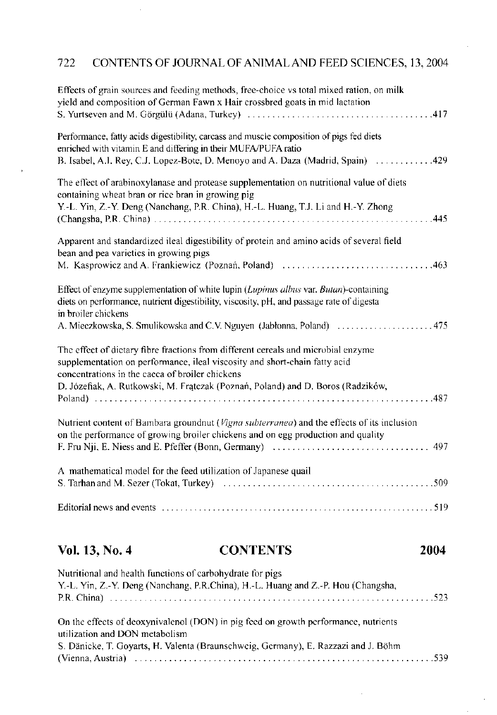### 722 CONTENTS OF JOURNAL OF ANIMAL AND FEED SCIENCES, 13,2004

| Effects of grain sources and feeding methods, free-choice vs total mixed ration, on milk<br>yield and composition of German Fawn x Hair crossbred goats in mid lactation                                                                                                                              |
|-------------------------------------------------------------------------------------------------------------------------------------------------------------------------------------------------------------------------------------------------------------------------------------------------------|
| Performance, fatty acids digestibility, carcass and muscle composition of pigs fed diets<br>enriched with vitamin E and differing in their MUFA/PUFA ratio<br>B. Isabel, A.I. Rey, C.J. Lopez-Bote, D. Menoyo and A. Daza (Madrid, Spain)  429                                                        |
| The effect of arabinoxylanase and protease supplementation on nutritional value of diets<br>containing wheat bran or rice bran in growing pig<br>Y.-L. Yin, Z.-Y. Deng (Nanchang, P.R. China), H.-L. Huang, T.J. Li and H.-Y. Zhong<br>.445                                                           |
| Apparent and standardized ileal digestibility of protein and amino acids of several field<br>bean and pea varieties in growing pigs                                                                                                                                                                   |
| Effect of enzyme supplementation of white lupin (Lupinus albus var. Butan)-containing<br>diets on performance, nutrient digestibility, viscosity, pH, and passage rate of digesta<br>in broiler chickens                                                                                              |
| The effect of dietary fibre fractions from different cereals and microbial enzyme<br>supplementation on performance, ileal viscosity and short-chain fatty acid<br>concentrations in the caeca of broiler chickens<br>D. Józefiak, A. Rutkowski, M. Fratczak (Poznań, Poland) and D. Boros (Radzików, |
| Nutrient content of Bambara groundnut (Vigna subterranea) and the effects of its inclusion<br>on the performance of growing broiler chickens and on egg production and quality                                                                                                                        |
| A mathematical model for the feed utilization of Japanese quail                                                                                                                                                                                                                                       |
|                                                                                                                                                                                                                                                                                                       |

### **Vol. 13, No. 4 CONTENTS 2004**

| Nutritional and health functions of carbohydrate for pigs                                                             |
|-----------------------------------------------------------------------------------------------------------------------|
| Y.-L. Yin, Z.-Y. Deng (Nanchang, P.R.China), H.-L. Huang and Z.-P. Hou (Changsha,                                     |
|                                                                                                                       |
| On the effects of deoxynivalenol (DON) in pig feed on growth performance, nutrients<br>utilization and DON metabolism |
| S. Dänicke, T. Goyarts, H. Valenta (Braunschweig, Germany), E. Razzazi and J. Böhm                                    |
|                                                                                                                       |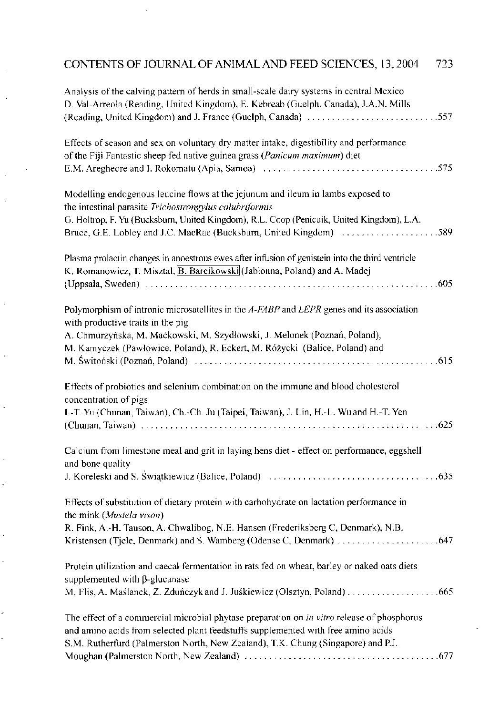### CONTENTS OF JOURNAL OF ANIMAL AND FEED SCIENCES, 13,2004 723

| Analysis of the calving pattern of herds in small-scale dairy systems in central Mexico<br>D. Val-Arreola (Reading, United Kingdom), E. Kebreab (Guelph, Canada), J.A.N. Mills<br>(Reading, United Kingdom) and J. France (Guelph, Canada) 557                                                               |
|--------------------------------------------------------------------------------------------------------------------------------------------------------------------------------------------------------------------------------------------------------------------------------------------------------------|
| Effects of season and sex on voluntary dry matter intake, digestibility and performance<br>of the Fiji Fantastic sheep fed native guinea grass (Panicum maximum) diet                                                                                                                                        |
| Modelling endogenous leucine flows at the jejunum and ileum in lambs exposed to<br>the intestinal parasite Trichostrongylus colubriformis<br>G. Holtrop, F. Yu (Bucksburn, United Kingdom), R.L. Coop (Penicuik, United Kingdom), L.A.<br>Bruce, G.E. Lobley and J.C. MacRae (Bucksburn, United Kingdom) 589 |
| Plasma prolactin changes in anoestrous ewes after infusion of genistein into the third ventricle<br>K. Romanowicz, T. Misztal, B. Barcikowski (Jabłonna, Poland) and A. Madej                                                                                                                                |
| Polymorphism of intronic microsatellites in the A-FABP and LEPR genes and its association<br>with productive traits in the pig<br>A. Chmurzyńska, M. Maćkowski, M. Szydłowski, J. Melonek (Poznań, Poland),<br>M. Kamyczek (Pawłowice, Poland), R. Eckert, M. Różycki (Balice, Poland) and                   |
| Effects of probiotics and selenium combination on the immune and blood cholesterol<br>concentration of pigs<br>I.-T. Yu (Chunan, Taiwan), Ch.-Ch. Ju (Taipei, Taiwan), J. Lin, H.-L. Wuand H.-T. Yen                                                                                                         |
| Calcium from limestone meal and grit in laying hens diet - effect on performance, eggshell<br>and bone quality                                                                                                                                                                                               |
| Effects of substitution of dietary protein with carbohydrate on lactation performance in<br>the mink (Mustela vison)<br>R. Fink, A.-H. Tauson, A. Chwalibog, N.E. Hansen (Frederiksberg C, Denmark), N.B.                                                                                                    |
| Protein utilization and caecal fermentation in rats fed on wheat, barley or naked oats diets<br>supplemented with $\beta$ -glucanase                                                                                                                                                                         |
| The effect of a commercial microbial phytase preparation on in vitro release of phosphorus<br>and amino acids from selected plant feedstuffs supplemented with free amino acids<br>S.M. Rutherfurd (Palmerston North, New Zcaland), T.K. Chung (Singapore) and P.J.                                          |